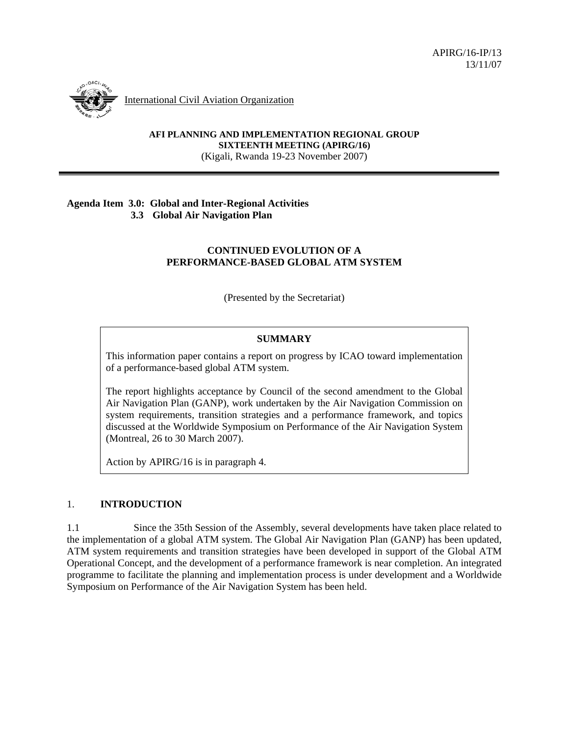

International Civil Aviation Organization

**AFI PLANNING AND IMPLEMENTATION REGIONAL GROUP SIXTEENTH MEETING (APIRG/16)**  (Kigali, Rwanda 19-23 November 2007)

#### **Agenda Item 3.0: Global and Inter-Regional Activities 3.3 Global Air Navigation Plan**

### **CONTINUED EVOLUTION OF A PERFORMANCE-BASED GLOBAL ATM SYSTEM**

(Presented by the Secretariat)

# **SUMMARY**

This information paper contains a report on progress by ICAO toward implementation of a performance-based global ATM system.

The report highlights acceptance by Council of the second amendment to the Global Air Navigation Plan (GANP), work undertaken by the Air Navigation Commission on system requirements, transition strategies and a performance framework, and topics discussed at the Worldwide Symposium on Performance of the Air Navigation System (Montreal, 26 to 30 March 2007).

Action by APIRG/16 is in paragraph 4.

# 1. **INTRODUCTION**

1.1 Since the 35th Session of the Assembly, several developments have taken place related to the implementation of a global ATM system. The Global Air Navigation Plan (GANP) has been updated, ATM system requirements and transition strategies have been developed in support of the Global ATM Operational Concept, and the development of a performance framework is near completion. An integrated programme to facilitate the planning and implementation process is under development and a Worldwide Symposium on Performance of the Air Navigation System has been held.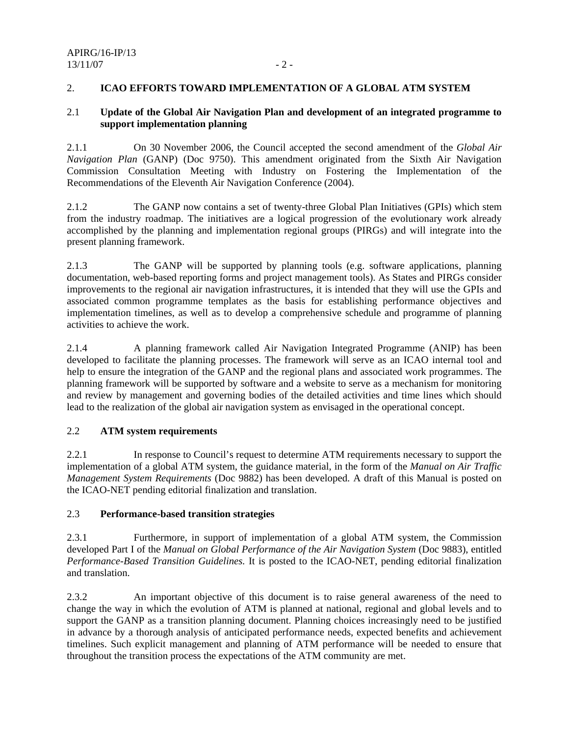### 2. **ICAO EFFORTS TOWARD IMPLEMENTATION OF A GLOBAL ATM SYSTEM**

#### 2.1 **Update of the Global Air Navigation Plan and development of an integrated programme to support implementation planning**

2.1.1 On 30 November 2006, the Council accepted the second amendment of the *Global Air Navigation Plan* (GANP) (Doc 9750). This amendment originated from the Sixth Air Navigation Commission Consultation Meeting with Industry on Fostering the Implementation of the Recommendations of the Eleventh Air Navigation Conference (2004).

2.1.2 The GANP now contains a set of twenty-three Global Plan Initiatives (GPIs) which stem from the industry roadmap. The initiatives are a logical progression of the evolutionary work already accomplished by the planning and implementation regional groups (PIRGs) and will integrate into the present planning framework.

2.1.3 The GANP will be supported by planning tools (e.g. software applications, planning documentation, web-based reporting forms and project management tools). As States and PIRGs consider improvements to the regional air navigation infrastructures, it is intended that they will use the GPIs and associated common programme templates as the basis for establishing performance objectives and implementation timelines, as well as to develop a comprehensive schedule and programme of planning activities to achieve the work.

2.1.4 A planning framework called Air Navigation Integrated Programme (ANIP) has been developed to facilitate the planning processes. The framework will serve as an ICAO internal tool and help to ensure the integration of the GANP and the regional plans and associated work programmes. The planning framework will be supported by software and a website to serve as a mechanism for monitoring and review by management and governing bodies of the detailed activities and time lines which should lead to the realization of the global air navigation system as envisaged in the operational concept.

### 2.2 **ATM system requirements**

2.2.1 In response to Council's request to determine ATM requirements necessary to support the implementation of a global ATM system, the guidance material, in the form of the *Manual on Air Traffic Management System Requirements* (Doc 9882) has been developed. A draft of this Manual is posted on the ICAO-NET pending editorial finalization and translation.

### 2.3 **Performance-based transition strategies**

2.3.1 Furthermore, in support of implementation of a global ATM system, the Commission developed Part I of the *Manual on Global Performance of the Air Navigation System* (Doc 9883), entitled *Performance-Based Transition Guidelines.* It is posted to the ICAO-NET, pending editorial finalization and translation.

2.3.2 An important objective of this document is to raise general awareness of the need to change the way in which the evolution of ATM is planned at national, regional and global levels and to support the GANP as a transition planning document. Planning choices increasingly need to be justified in advance by a thorough analysis of anticipated performance needs, expected benefits and achievement timelines. Such explicit management and planning of ATM performance will be needed to ensure that throughout the transition process the expectations of the ATM community are met.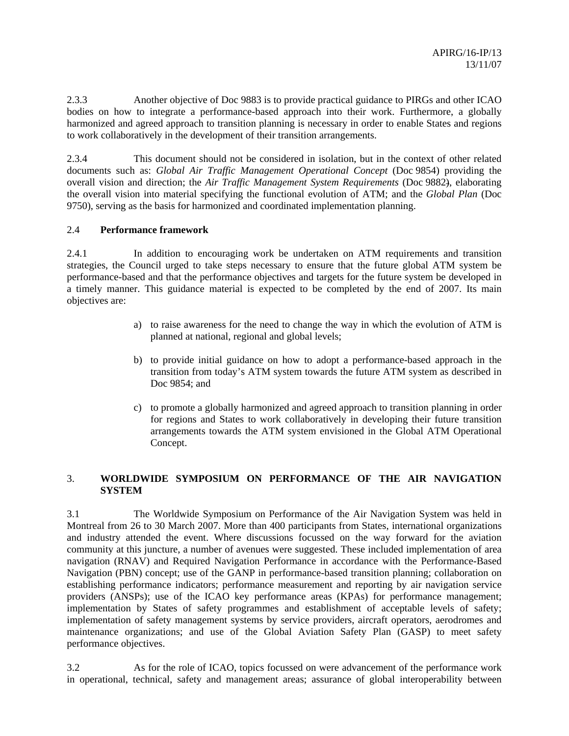2.3.3 Another objective of Doc 9883 is to provide practical guidance to PIRGs and other ICAO bodies on how to integrate a performance-based approach into their work. Furthermore, a globally harmonized and agreed approach to transition planning is necessary in order to enable States and regions to work collaboratively in the development of their transition arrangements.

2.3.4 This document should not be considered in isolation, but in the context of other related documents such as: *Global Air Traffic Management Operational Concept* (Doc 9854) providing the overall vision and direction; the *Air Traffic Management System Requirements* (Doc 9882), elaborating the overall vision into material specifying the functional evolution of ATM; and the *Global Plan* (Doc 9750), serving as the basis for harmonized and coordinated implementation planning.

### 2.4 **Performance framework**

2.4.1 In addition to encouraging work be undertaken on ATM requirements and transition strategies, the Council urged to take steps necessary to ensure that the future global ATM system be performance-based and that the performance objectives and targets for the future system be developed in a timely manner. This guidance material is expected to be completed by the end of 2007. Its main objectives are:

- a) to raise awareness for the need to change the way in which the evolution of ATM is planned at national, regional and global levels;
- b) to provide initial guidance on how to adopt a performance-based approach in the transition from today's ATM system towards the future ATM system as described in Doc 9854; and
- c) to promote a globally harmonized and agreed approach to transition planning in order for regions and States to work collaboratively in developing their future transition arrangements towards the ATM system envisioned in the Global ATM Operational Concept.

# 3. **WORLDWIDE SYMPOSIUM ON PERFORMANCE OF THE AIR NAVIGATION SYSTEM**

3.1 The Worldwide Symposium on Performance of the Air Navigation System was held in Montreal from 26 to 30 March 2007. More than 400 participants from States, international organizations and industry attended the event. Where discussions focussed on the way forward for the aviation community at this juncture, a number of avenues were suggested. These included implementation of area navigation (RNAV) and Required Navigation Performance in accordance with the Performance-Based Navigation (PBN) concept; use of the GANP in performance-based transition planning; collaboration on establishing performance indicators; performance measurement and reporting by air navigation service providers (ANSPs); use of the ICAO key performance areas (KPAs) for performance management; implementation by States of safety programmes and establishment of acceptable levels of safety; implementation of safety management systems by service providers, aircraft operators, aerodromes and maintenance organizations; and use of the Global Aviation Safety Plan (GASP) to meet safety performance objectives.

3.2 As for the role of ICAO, topics focussed on were advancement of the performance work in operational, technical, safety and management areas; assurance of global interoperability between